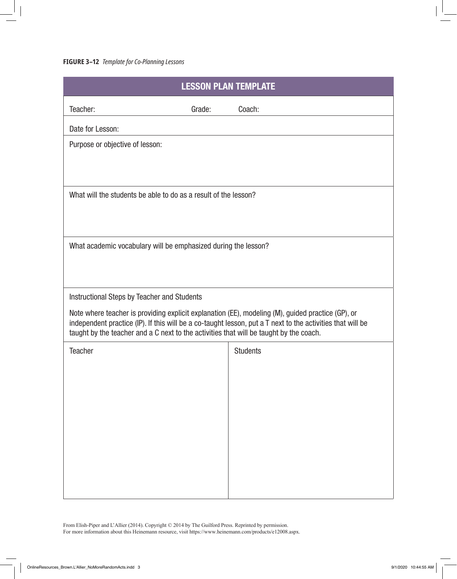| <b>LESSON PLAN TEMPLATE</b>                                                                                                                                                                                                                                                                               |                 |
|-----------------------------------------------------------------------------------------------------------------------------------------------------------------------------------------------------------------------------------------------------------------------------------------------------------|-----------------|
| Teacher:<br>Grade:                                                                                                                                                                                                                                                                                        | Coach:          |
| Date for Lesson:                                                                                                                                                                                                                                                                                          |                 |
| Purpose or objective of lesson:                                                                                                                                                                                                                                                                           |                 |
|                                                                                                                                                                                                                                                                                                           |                 |
| What will the students be able to do as a result of the lesson?                                                                                                                                                                                                                                           |                 |
| What academic vocabulary will be emphasized during the lesson?                                                                                                                                                                                                                                            |                 |
| Instructional Steps by Teacher and Students                                                                                                                                                                                                                                                               |                 |
| Note where teacher is providing explicit explanation (EE), modeling (M), guided practice (GP), or<br>independent practice (IP). If this will be a co-taught lesson, put a T next to the activities that will be<br>taught by the teacher and a C next to the activities that will be taught by the coach. |                 |
| <b>Teacher</b>                                                                                                                                                                                                                                                                                            | <b>Students</b> |
|                                                                                                                                                                                                                                                                                                           |                 |
|                                                                                                                                                                                                                                                                                                           |                 |
|                                                                                                                                                                                                                                                                                                           |                 |
|                                                                                                                                                                                                                                                                                                           |                 |
|                                                                                                                                                                                                                                                                                                           |                 |
|                                                                                                                                                                                                                                                                                                           |                 |
|                                                                                                                                                                                                                                                                                                           |                 |